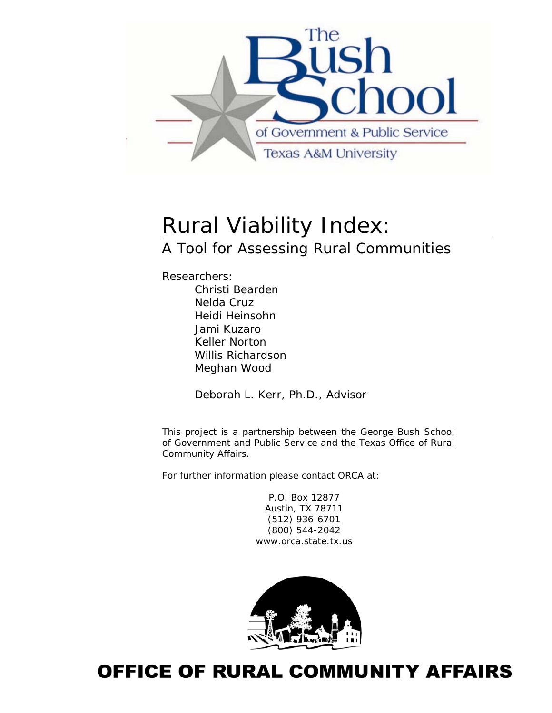

# Rural Viability Index:

## A Tool for Assessing Rural Communities

Researchers: Christi Bearden Nelda Cruz Heidi Heinsohn Jami Kuzaro Keller Norton Willis Richardson Meghan Wood

*Deborah L. Kerr, Ph.D., Advisor* 

This project is a partnership between the George Bush School of Government and Public Service and the Texas Office of Rural Community Affairs.

For further information please contact ORCA at:

P.O. Box 12877 Austin, TX 78711 (512) 936-6701 (800) 544-2042 www.orca.state.tx.us



## **OFFICE OF RURAL COMMUNITY AFFAIRS**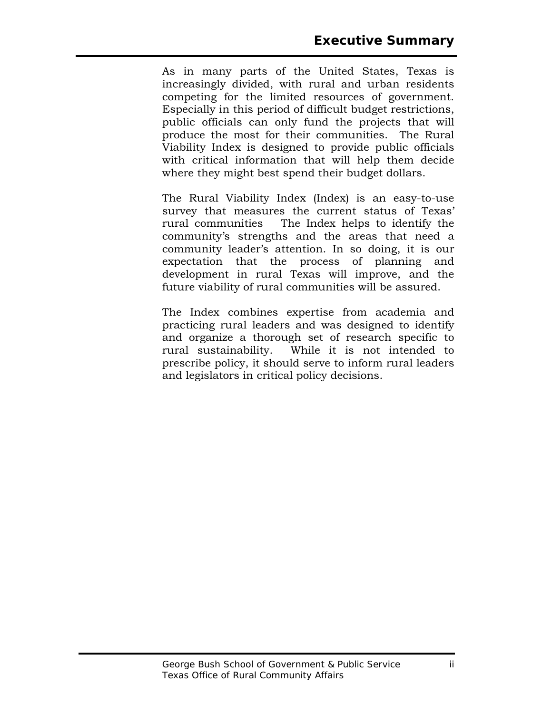As in many parts of the United States, Texas is increasingly divided, with rural and urban residents competing for the limited resources of government. Especially in this period of difficult budget restrictions, public officials can only fund the projects that will produce the most for their communities. The Rural Viability Index is designed to provide public officials with critical information that will help them decide where they might best spend their budget dollars.

The Rural Viability Index (Index) is an easy-to-use survey that measures the current status of Texas' rural communities The Index helps to identify the community's strengths and the areas that need a community leader's attention. In so doing, it is our expectation that the process of planning and development in rural Texas will improve, and the future viability of rural communities will be assured.

The Index combines expertise from academia and practicing rural leaders and was designed to identify and organize a thorough set of research specific to rural sustainability. While it is not intended to prescribe policy, it should serve to inform rural leaders and legislators in critical policy decisions.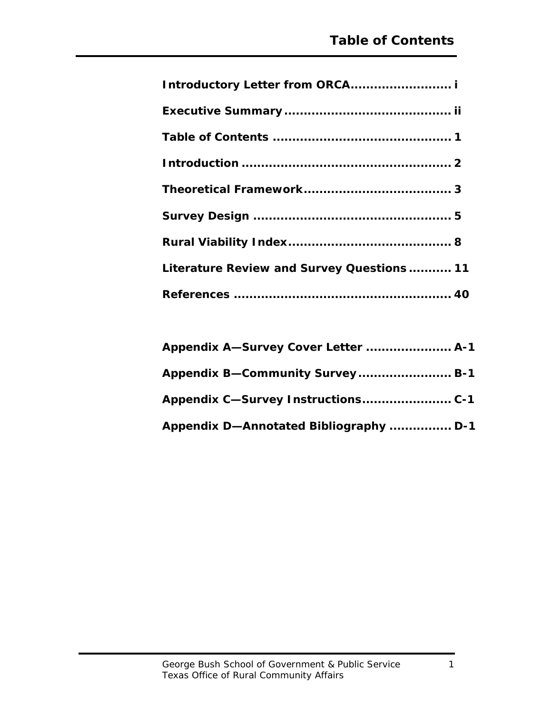| Literature Review and Survey Questions 11 |
|-------------------------------------------|
|                                           |

| Appendix A-Survey Cover Letter  A-1    |  |
|----------------------------------------|--|
| Appendix B-Community Survey B-1        |  |
|                                        |  |
| Appendix D-Annotated Bibliography  D-1 |  |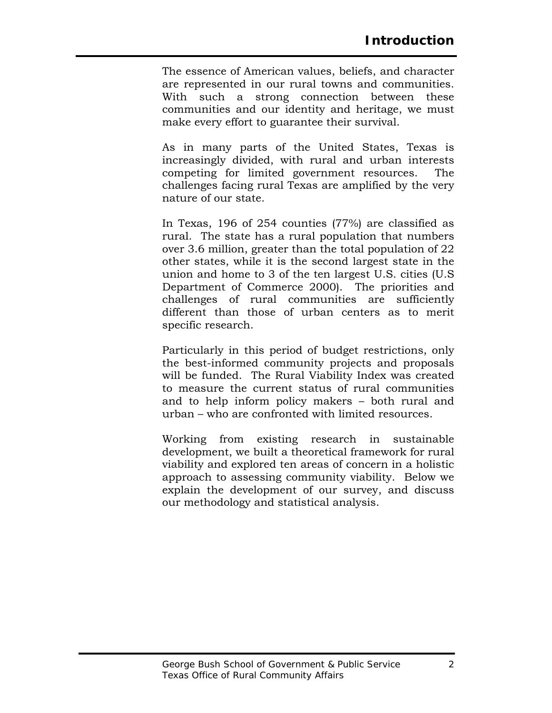The essence of American values, beliefs, and character are represented in our rural towns and communities. With such a strong connection between these communities and our identity and heritage, we must make every effort to guarantee their survival.

As in many parts of the United States, Texas is increasingly divided, with rural and urban interests competing for limited government resources. The challenges facing rural Texas are amplified by the very nature of our state.

In Texas, 196 of 254 counties (77%) are classified as rural. The state has a rural population that numbers over 3.6 million, greater than the total population of 22 other states, while it is the second largest state in the union and home to 3 of the ten largest U.S. cities (U.S Department of Commerce 2000). The priorities and challenges of rural communities are sufficiently different than those of urban centers as to merit specific research.

Particularly in this period of budget restrictions, only the best-informed community projects and proposals will be funded. The Rural Viability Index was created to measure the current status of rural communities and to help inform policy makers – both rural and urban – who are confronted with limited resources.

Working from existing research in sustainable development, we built a theoretical framework for rural viability and explored ten areas of concern in a holistic approach to assessing community viability. Below we explain the development of our survey, and discuss our methodology and statistical analysis.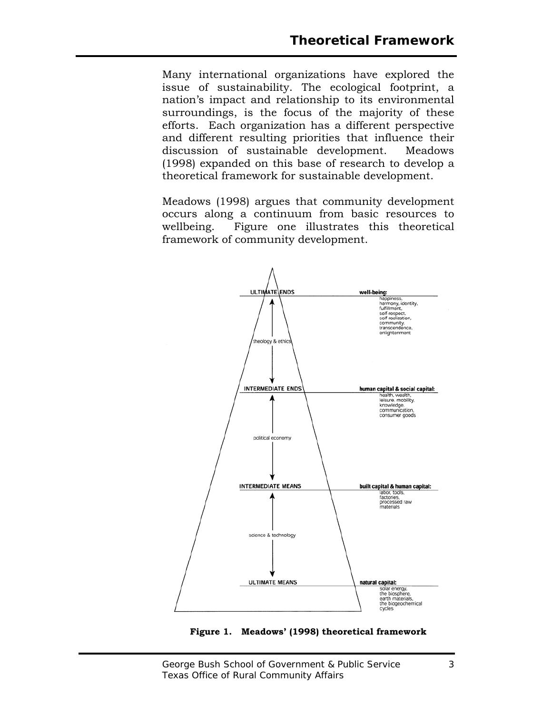Many international organizations have explored the issue of sustainability. The ecological footprint, a nation's impact and relationship to its environmental surroundings, is the focus of the majority of these efforts. Each organization has a different perspective and different resulting priorities that influence their discussion of sustainable development. Meadows (1998) expanded on this base of research to develop a theoretical framework for sustainable development.

Meadows (1998) argues that community development occurs along a continuum from basic resources to wellbeing. Figure one illustrates this theoretical framework of community development.



**Figure 1. Meadows' (1998) theoretical framework**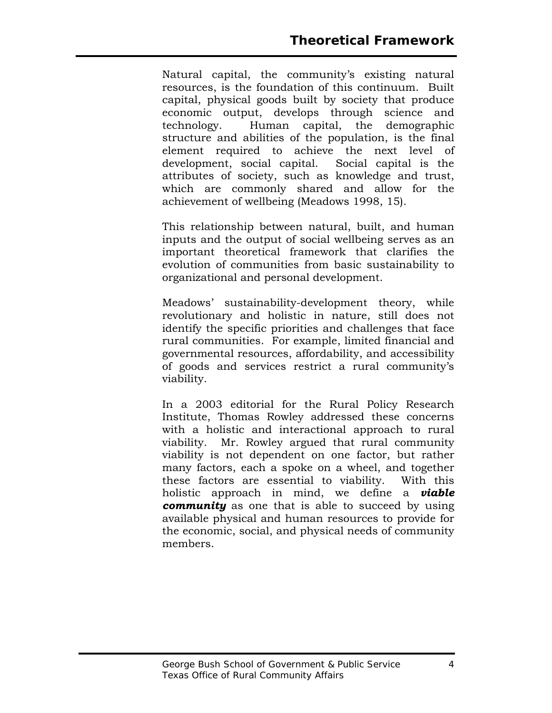Natural capital, the community's existing natural resources, is the foundation of this continuum. Built capital, physical goods built by society that produce economic output, develops through science and technology. Human capital, the demographic structure and abilities of the population, is the final element required to achieve the next level of development, social capital. Social capital is the attributes of society, such as knowledge and trust, which are commonly shared and allow for the achievement of wellbeing (Meadows 1998, 15).

This relationship between natural, built, and human inputs and the output of social wellbeing serves as an important theoretical framework that clarifies the evolution of communities from basic sustainability to organizational and personal development.

Meadows' sustainability-development theory, while revolutionary and holistic in nature, still does not identify the specific priorities and challenges that face rural communities. For example, limited financial and governmental resources, affordability, and accessibility of goods and services restrict a rural community's viability.

In a 2003 editorial for the Rural Policy Research Institute, Thomas Rowley addressed these concerns with a holistic and interactional approach to rural viability. Mr. Rowley argued that rural community viability is not dependent on one factor, but rather many factors, each a spoke on a wheel, and together these factors are essential to viability. With this holistic approach in mind, we define a *viable community* as one that is able to succeed by using available physical and human resources to provide for the economic, social, and physical needs of community members.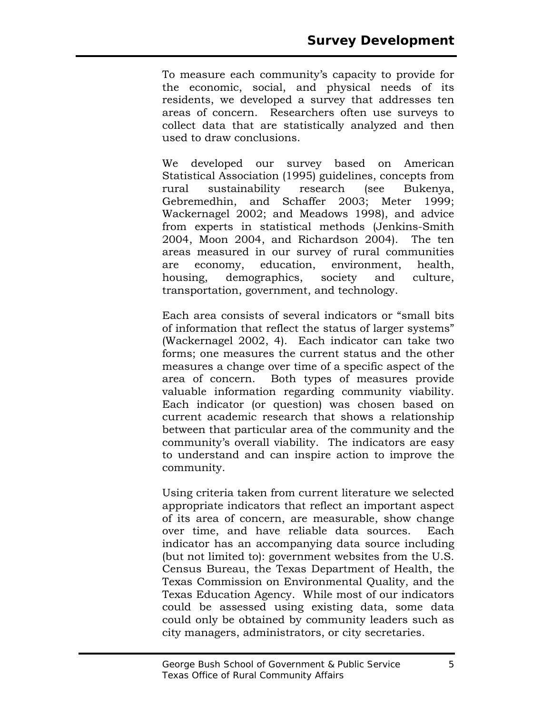To measure each community's capacity to provide for the economic, social, and physical needs of its residents, we developed a survey that addresses ten areas of concern. Researchers often use surveys to collect data that are statistically analyzed and then used to draw conclusions.

We developed our survey based on American Statistical Association (1995) guidelines, concepts from rural sustainability research (see Bukenya, Gebremedhin, and Schaffer 2003; Meter 1999; Wackernagel 2002; and Meadows 1998), and advice from experts in statistical methods (Jenkins-Smith 2004, Moon 2004, and Richardson 2004). The ten areas measured in our survey of rural communities are economy, education, environment, health, housing, demographics, society and culture, transportation, government, and technology.

Each area consists of several indicators or "small bits of information that reflect the status of larger systems" (Wackernagel 2002, 4). Each indicator can take two forms; one measures the current status and the other measures a change over time of a specific aspect of the area of concern. Both types of measures provide valuable information regarding community viability. Each indicator (or question) was chosen based on current academic research that shows a relationship between that particular area of the community and the community's overall viability. The indicators are easy to understand and can inspire action to improve the community.

Using criteria taken from current literature we selected appropriate indicators that reflect an important aspect of its area of concern, are measurable, show change over time, and have reliable data sources. Each indicator has an accompanying data source including (but not limited to): government websites from the U.S. Census Bureau, the Texas Department of Health, the Texas Commission on Environmental Quality, and the Texas Education Agency. While most of our indicators could be assessed using existing data, some data could only be obtained by community leaders such as city managers, administrators, or city secretaries.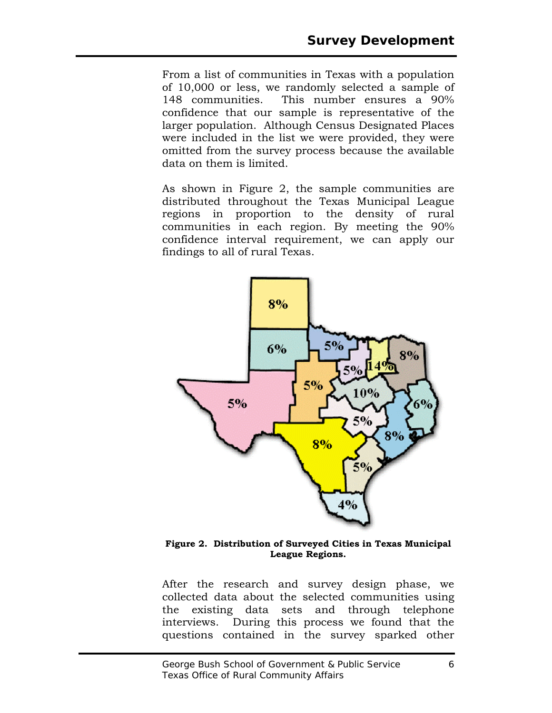From a list of communities in Texas with a population of 10,000 or less, we randomly selected a sample of 148 communities. This number ensures a 90% confidence that our sample is representative of the larger population. Although Census Designated Places were included in the list we were provided, they were omitted from the survey process because the available data on them is limited.

As shown in Figure 2, the sample communities are distributed throughout the Texas Municipal League regions in proportion to the density of rural communities in each region. By meeting the 90% confidence interval requirement, we can apply our findings to all of rural Texas.



**Figure 2. Distribution of Surveyed Cities in Texas Municipal League Regions.** 

After the research and survey design phase, we collected data about the selected communities using the existing data sets and through telephone interviews. During this process we found that the questions contained in the survey sparked other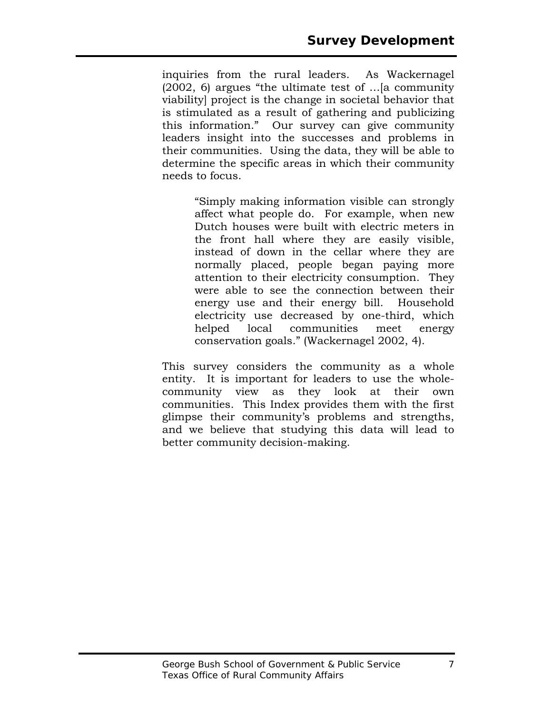inquiries from the rural leaders. As Wackernagel (2002, 6) argues "the ultimate test of …[a community viability] project is the change in societal behavior that is stimulated as a result of gathering and publicizing this information." Our survey can give community leaders insight into the successes and problems in their communities. Using the data, they will be able to determine the specific areas in which their community needs to focus.

> "Simply making information visible can strongly affect what people do. For example, when new Dutch houses were built with electric meters in the front hall where they are easily visible, instead of down in the cellar where they are normally placed, people began paying more attention to their electricity consumption. They were able to see the connection between their energy use and their energy bill. Household electricity use decreased by one-third, which helped local communities meet energy conservation goals." (Wackernagel 2002, 4).

This survey considers the community as a whole entity. It is important for leaders to use the wholecommunity view as they look at their own communities. This Index provides them with the first glimpse their community's problems and strengths, and we believe that studying this data will lead to better community decision-making.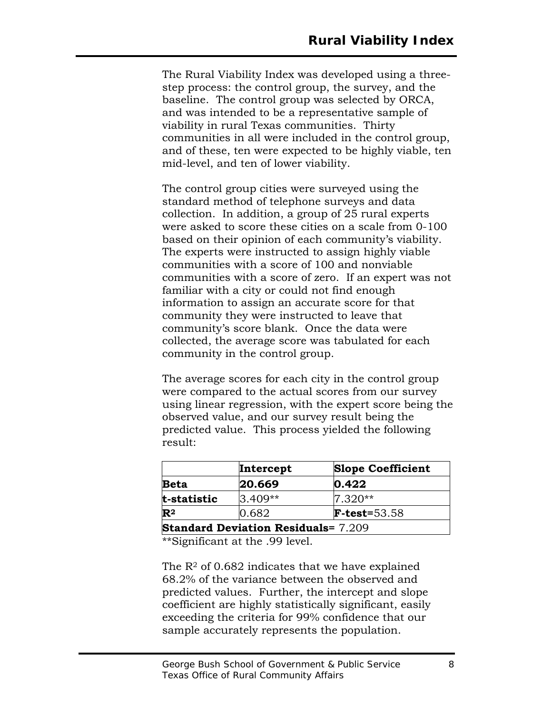The Rural Viability Index was developed using a threestep process: the control group, the survey, and the baseline. The control group was selected by ORCA, and was intended to be a representative sample of viability in rural Texas communities. Thirty communities in all were included in the control group, and of these, ten were expected to be highly viable, ten mid-level, and ten of lower viability.

The control group cities were surveyed using the standard method of telephone surveys and data collection. In addition, a group of 25 rural experts were asked to score these cities on a scale from 0-100 based on their opinion of each community's viability. The experts were instructed to assign highly viable communities with a score of 100 and nonviable communities with a score of zero. If an expert was not familiar with a city or could not find enough information to assign an accurate score for that community they were instructed to leave that community's score blank. Once the data were collected, the average score was tabulated for each community in the control group.

The average scores for each city in the control group were compared to the actual scores from our survey using linear regression, with the expert score being the observed value, and our survey result being the predicted value. This process yielded the following result:

|                                            | Intercept | <b>Slope Coefficient</b> |  |
|--------------------------------------------|-----------|--------------------------|--|
| <b>Beta</b>                                | 20.669    | 0.422                    |  |
| t-statistic                                | $3.409**$ | $7.320**$                |  |
| $\mathbf{R}^2$                             | 0.682     | $F-test = 53.58$         |  |
| <b>Standard Deviation Residuals=</b> 7.209 |           |                          |  |

\*\*Significant at the .99 level.

The  $R<sup>2</sup>$  of 0.682 indicates that we have explained 68.2% of the variance between the observed and predicted values. Further, the intercept and slope coefficient are highly statistically significant, easily exceeding the criteria for 99% confidence that our sample accurately represents the population.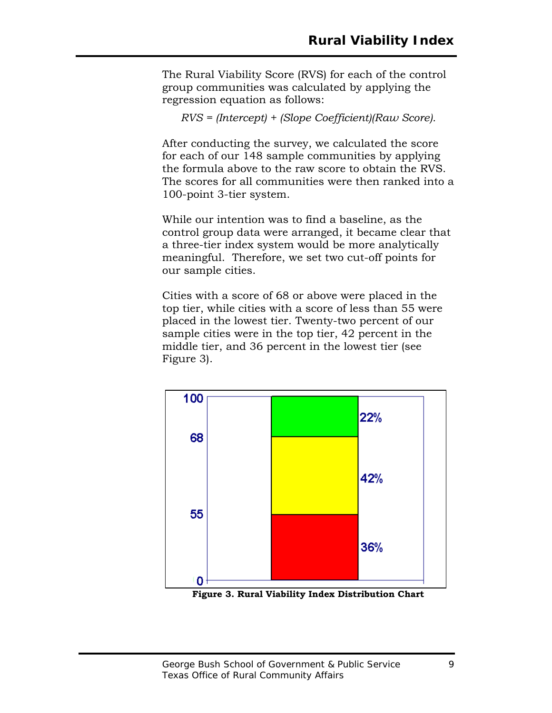The Rural Viability Score (RVS) for each of the control group communities was calculated by applying the regression equation as follows:

*RVS = (Intercept) + (Slope Coefficient)(Raw Score).* 

After conducting the survey, we calculated the score for each of our 148 sample communities by applying the formula above to the raw score to obtain the RVS. The scores for all communities were then ranked into a 100-point 3-tier system.

While our intention was to find a baseline, as the control group data were arranged, it became clear that a three-tier index system would be more analytically meaningful. Therefore, we set two cut-off points for our sample cities.

Cities with a score of 68 or above were placed in the top tier, while cities with a score of less than 55 were placed in the lowest tier. Twenty-two percent of our sample cities were in the top tier, 42 percent in the middle tier, and 36 percent in the lowest tier (see Figure 3).



**Figure 3. Rural Viability Index Distribution Chart**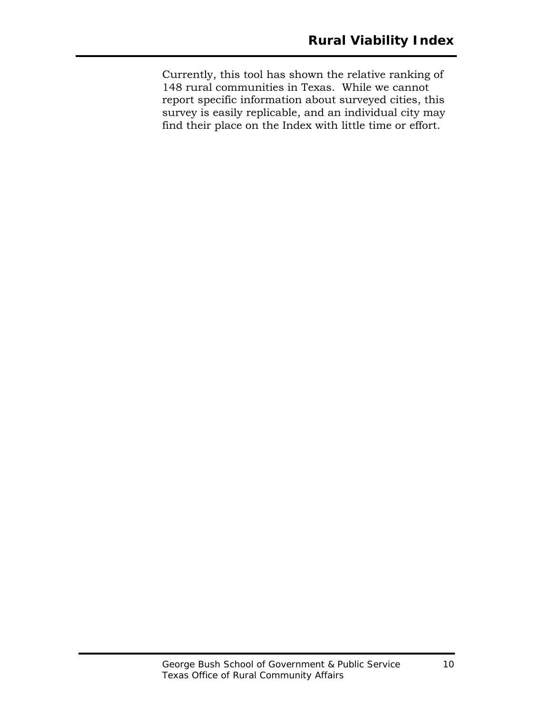Currently, this tool has shown the relative ranking of 148 rural communities in Texas. While we cannot report specific information about surveyed cities, this survey is easily replicable, and an individual city may find their place on the Index with little time or effort.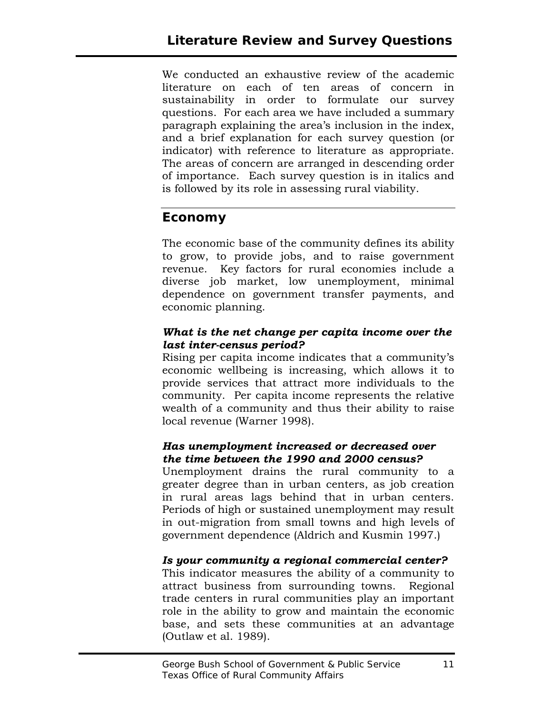We conducted an exhaustive review of the academic literature on each of ten areas of concern in sustainability in order to formulate our survey questions. For each area we have included a summary paragraph explaining the area's inclusion in the index, and a brief explanation for each survey question (or indicator) with reference to literature as appropriate. The areas of concern are arranged in descending order of importance. Each survey question is in italics and is followed by its role in assessing rural viability.

## **Economy**

The economic base of the community defines its ability to grow, to provide jobs, and to raise government revenue. Key factors for rural economies include a diverse job market, low unemployment, minimal dependence on government transfer payments, and economic planning.

#### *What is the net change per capita income over the last inter-census period?*

Rising per capita income indicates that a community's economic wellbeing is increasing, which allows it to provide services that attract more individuals to the community. Per capita income represents the relative wealth of a community and thus their ability to raise local revenue (Warner 1998).

#### *Has unemployment increased or decreased over the time between the 1990 and 2000 census?*

Unemployment drains the rural community to a greater degree than in urban centers, as job creation in rural areas lags behind that in urban centers. Periods of high or sustained unemployment may result in out-migration from small towns and high levels of government dependence (Aldrich and Kusmin 1997.)

#### *Is your community a regional commercial center?*

This indicator measures the ability of a community to attract business from surrounding towns. Regional trade centers in rural communities play an important role in the ability to grow and maintain the economic base, and sets these communities at an advantage (Outlaw et al. 1989).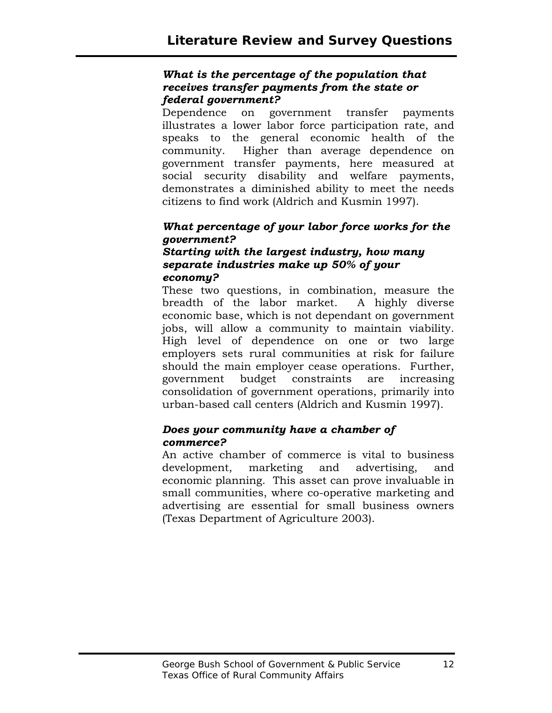#### *What is the percentage of the population that receives transfer payments from the state or federal government?*

Dependence on government transfer payments illustrates a lower labor force participation rate, and speaks to the general economic health of the community. Higher than average dependence on government transfer payments, here measured at social security disability and welfare payments, demonstrates a diminished ability to meet the needs citizens to find work (Aldrich and Kusmin 1997).

#### *What percentage of your labor force works for the government?*

#### *Starting with the largest industry, how many separate industries make up 50% of your economy?*

These two questions, in combination, measure the breadth of the labor market. A highly diverse economic base, which is not dependant on government jobs, will allow a community to maintain viability. High level of dependence on one or two large employers sets rural communities at risk for failure should the main employer cease operations. Further, government budget constraints are increasing consolidation of government operations, primarily into urban-based call centers (Aldrich and Kusmin 1997).

#### *Does your community have a chamber of commerce?*

An active chamber of commerce is vital to business development, marketing and advertising, and economic planning. This asset can prove invaluable in small communities, where co-operative marketing and advertising are essential for small business owners (Texas Department of Agriculture 2003).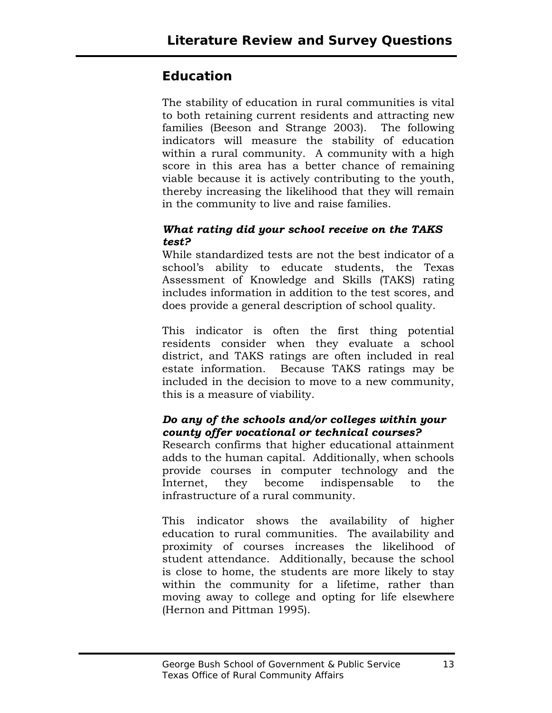## **Education**

The stability of education in rural communities is vital to both retaining current residents and attracting new families (Beeson and Strange 2003). The following indicators will measure the stability of education within a rural community. A community with a high score in this area has a better chance of remaining viable because it is actively contributing to the youth, thereby increasing the likelihood that they will remain in the community to live and raise families.

#### *What rating did your school receive on the TAKS test?*

While standardized tests are not the best indicator of a school's ability to educate students, the Texas Assessment of Knowledge and Skills (TAKS) rating includes information in addition to the test scores, and does provide a general description of school quality.

This indicator is often the first thing potential residents consider when they evaluate a school district, and TAKS ratings are often included in real estate information. Because TAKS ratings may be included in the decision to move to a new community, this is a measure of viability.

#### *Do any of the schools and/or colleges within your county offer vocational or technical courses?*

Research confirms that higher educational attainment adds to the human capital. Additionally, when schools provide courses in computer technology and the Internet, they become indispensable to the infrastructure of a rural community.

This indicator shows the availability of higher education to rural communities. The availability and proximity of courses increases the likelihood of student attendance. Additionally, because the school is close to home, the students are more likely to stay within the community for a lifetime, rather than moving away to college and opting for life elsewhere (Hernon and Pittman 1995).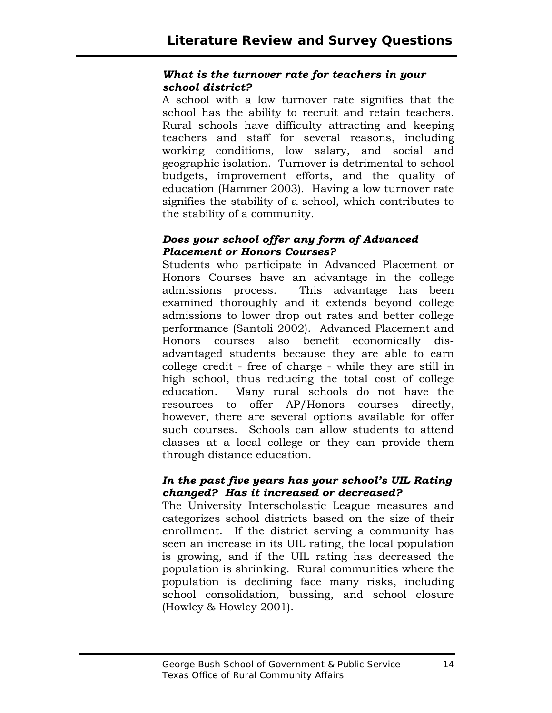#### *What is the turnover rate for teachers in your school district?*

A school with a low turnover rate signifies that the school has the ability to recruit and retain teachers. Rural schools have difficulty attracting and keeping teachers and staff for several reasons, including working conditions, low salary, and social and geographic isolation. Turnover is detrimental to school budgets, improvement efforts, and the quality of education (Hammer 2003). Having a low turnover rate signifies the stability of a school, which contributes to the stability of a community.

#### *Does your school offer any form of Advanced Placement or Honors Courses?*

Students who participate in Advanced Placement or Honors Courses have an advantage in the college admissions process. This advantage has been examined thoroughly and it extends beyond college admissions to lower drop out rates and better college performance (Santoli 2002). Advanced Placement and Honors courses also benefit economically disadvantaged students because they are able to earn college credit - free of charge - while they are still in high school, thus reducing the total cost of college education. Many rural schools do not have the resources to offer AP/Honors courses directly, however, there are several options available for offer such courses. Schools can allow students to attend classes at a local college or they can provide them through distance education.

#### *In the past five years has your school's UIL Rating changed? Has it increased or decreased?*

The University Interscholastic League measures and categorizes school districts based on the size of their enrollment. If the district serving a community has seen an increase in its UIL rating, the local population is growing, and if the UIL rating has decreased the population is shrinking. Rural communities where the population is declining face many risks, including school consolidation, bussing, and school closure (Howley & Howley 2001).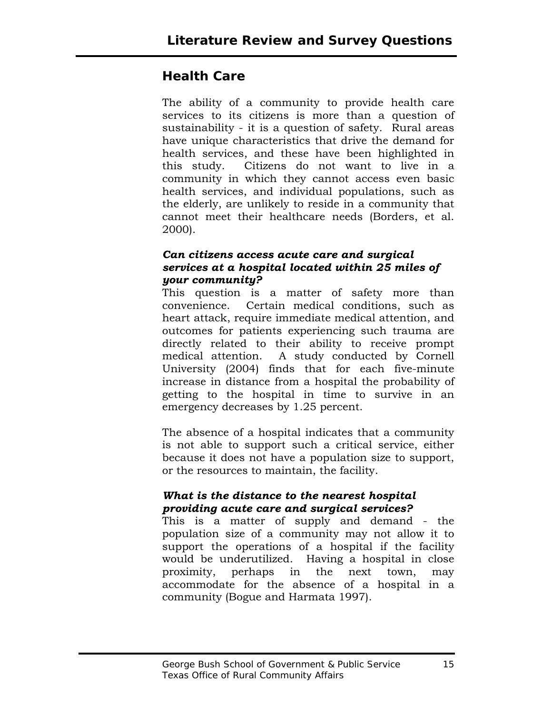## **Health Care**

The ability of a community to provide health care services to its citizens is more than a question of sustainability - it is a question of safety. Rural areas have unique characteristics that drive the demand for health services, and these have been highlighted in this study. Citizens do not want to live in a community in which they cannot access even basic health services, and individual populations, such as the elderly, are unlikely to reside in a community that cannot meet their healthcare needs (Borders, et al. 2000).

#### *Can citizens access acute care and surgical services at a hospital located within 25 miles of your community?*

This question is a matter of safety more than convenience. Certain medical conditions, such as heart attack, require immediate medical attention, and outcomes for patients experiencing such trauma are directly related to their ability to receive prompt medical attention. A study conducted by Cornell University (2004) finds that for each five-minute increase in distance from a hospital the probability of getting to the hospital in time to survive in an emergency decreases by 1.25 percent.

The absence of a hospital indicates that a community is not able to support such a critical service, either because it does not have a population size to support, or the resources to maintain, the facility.

#### *What is the distance to the nearest hospital providing acute care and surgical services?*

This is a matter of supply and demand - the population size of a community may not allow it to support the operations of a hospital if the facility would be underutilized. Having a hospital in close proximity, perhaps in the next town, may accommodate for the absence of a hospital in a community (Bogue and Harmata 1997).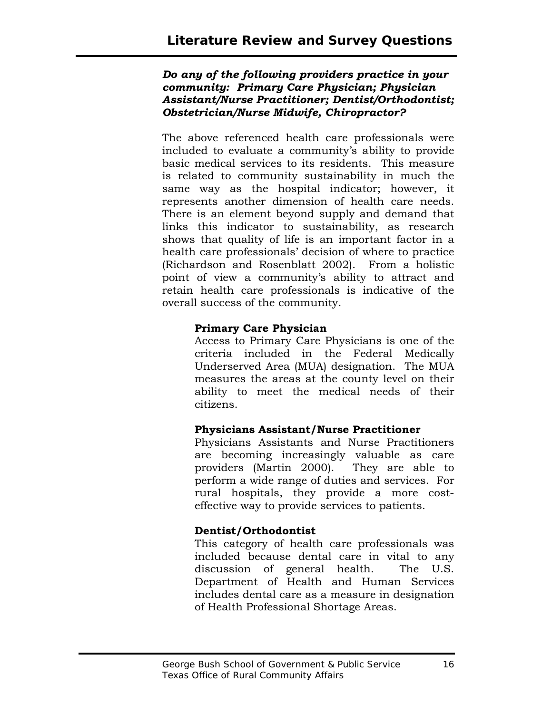#### *Do any of the following providers practice in your community: Primary Care Physician; Physician Assistant/Nurse Practitioner; Dentist/Orthodontist; Obstetrician/Nurse Midwife, Chiropractor?*

The above referenced health care professionals were included to evaluate a community's ability to provide basic medical services to its residents. This measure is related to community sustainability in much the same way as the hospital indicator; however, it represents another dimension of health care needs. There is an element beyond supply and demand that links this indicator to sustainability, as research shows that quality of life is an important factor in a health care professionals' decision of where to practice (Richardson and Rosenblatt 2002). From a holistic point of view a community's ability to attract and retain health care professionals is indicative of the overall success of the community.

#### **Primary Care Physician**

Access to Primary Care Physicians is one of the criteria included in the Federal Medically Underserved Area (MUA) designation. The MUA measures the areas at the county level on their ability to meet the medical needs of their citizens.

#### **Physicians Assistant/Nurse Practitioner**

Physicians Assistants and Nurse Practitioners are becoming increasingly valuable as care providers (Martin 2000). They are able to perform a wide range of duties and services. For rural hospitals, they provide a more costeffective way to provide services to patients.

#### **Dentist/Orthodontist**

This category of health care professionals was included because dental care in vital to any discussion of general health. The U.S. Department of Health and Human Services includes dental care as a measure in designation of Health Professional Shortage Areas.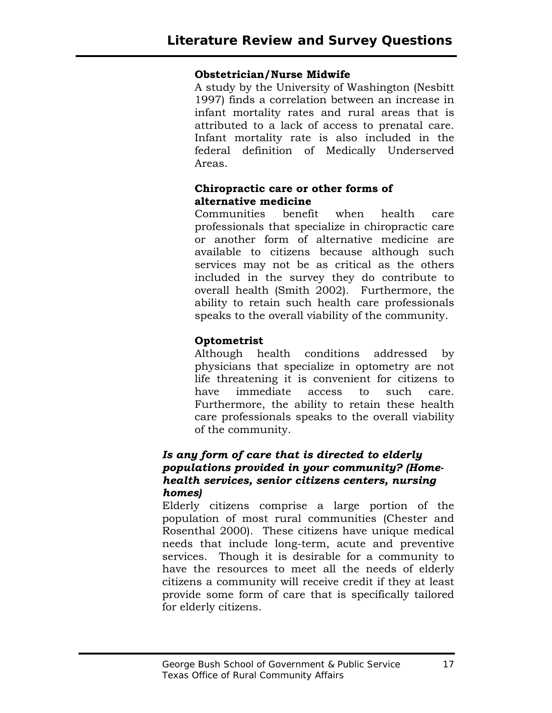#### **Obstetrician/Nurse Midwife**

A study by the University of Washington (Nesbitt 1997) finds a correlation between an increase in infant mortality rates and rural areas that is attributed to a lack of access to prenatal care. Infant mortality rate is also included in the federal definition of Medically Underserved Areas.

#### **Chiropractic care or other forms of alternative medicine**

Communities benefit when health care professionals that specialize in chiropractic care or another form of alternative medicine are available to citizens because although such services may not be as critical as the others included in the survey they do contribute to overall health (Smith 2002). Furthermore, the ability to retain such health care professionals speaks to the overall viability of the community.

#### **Optometrist**

Although health conditions addressed by physicians that specialize in optometry are not life threatening it is convenient for citizens to have immediate access to such care. Furthermore, the ability to retain these health care professionals speaks to the overall viability of the community.

#### *Is any form of care that is directed to elderly populations provided in your community? (Homehealth services, senior citizens centers, nursing homes)*

Elderly citizens comprise a large portion of the population of most rural communities (Chester and Rosenthal 2000). These citizens have unique medical needs that include long-term, acute and preventive services. Though it is desirable for a community to have the resources to meet all the needs of elderly citizens a community will receive credit if they at least provide some form of care that is specifically tailored for elderly citizens.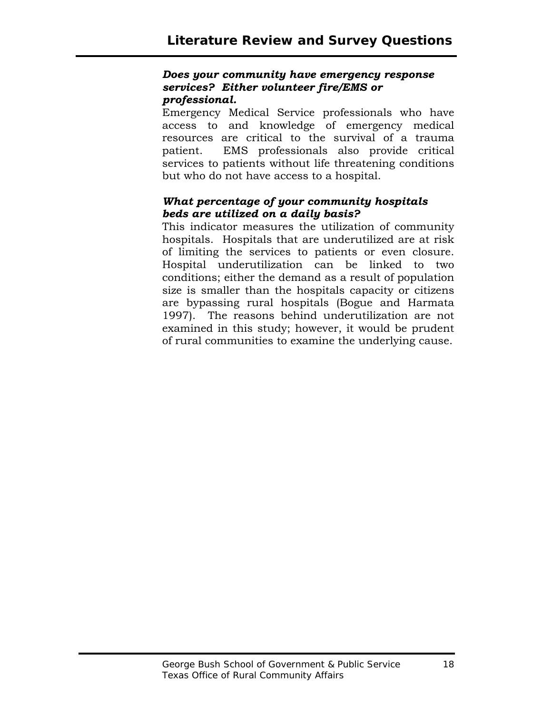#### *Does your community have emergency response services? Either volunteer fire/EMS or professional.*

Emergency Medical Service professionals who have access to and knowledge of emergency medical resources are critical to the survival of a trauma patient. EMS professionals also provide critical services to patients without life threatening conditions but who do not have access to a hospital.

#### *What percentage of your community hospitals beds are utilized on a daily basis?*

This indicator measures the utilization of community hospitals. Hospitals that are underutilized are at risk of limiting the services to patients or even closure. Hospital underutilization can be linked to two conditions; either the demand as a result of population size is smaller than the hospitals capacity or citizens are bypassing rural hospitals (Bogue and Harmata 1997). The reasons behind underutilization are not examined in this study; however, it would be prudent of rural communities to examine the underlying cause.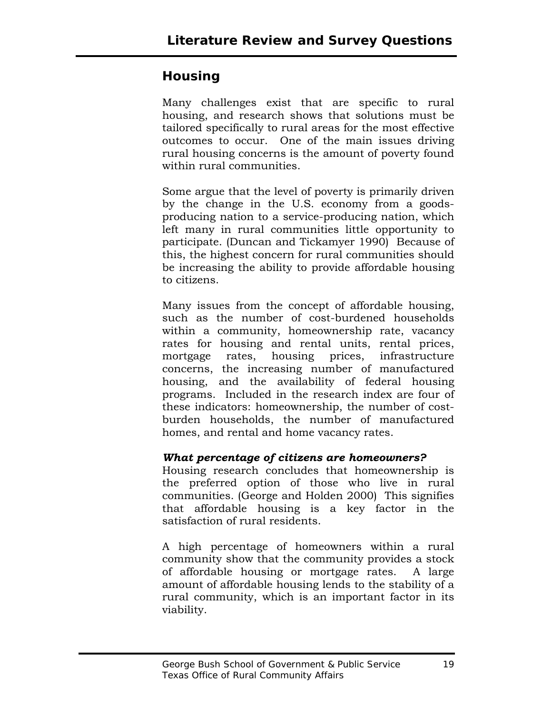## **Housing**

Many challenges exist that are specific to rural housing, and research shows that solutions must be tailored specifically to rural areas for the most effective outcomes to occur. One of the main issues driving rural housing concerns is the amount of poverty found within rural communities.

Some argue that the level of poverty is primarily driven by the change in the U.S. economy from a goodsproducing nation to a service-producing nation, which left many in rural communities little opportunity to participate. (Duncan and Tickamyer 1990) Because of this, the highest concern for rural communities should be increasing the ability to provide affordable housing to citizens.

Many issues from the concept of affordable housing, such as the number of cost-burdened households within a community, homeownership rate, vacancy rates for housing and rental units, rental prices, mortgage rates, housing prices, infrastructure concerns, the increasing number of manufactured housing, and the availability of federal housing programs. Included in the research index are four of these indicators: homeownership, the number of costburden households, the number of manufactured homes, and rental and home vacancy rates.

#### *What percentage of citizens are homeowners?*

Housing research concludes that homeownership is the preferred option of those who live in rural communities. (George and Holden 2000) This signifies that affordable housing is a key factor in the satisfaction of rural residents.

A high percentage of homeowners within a rural community show that the community provides a stock of affordable housing or mortgage rates. A large amount of affordable housing lends to the stability of a rural community, which is an important factor in its viability.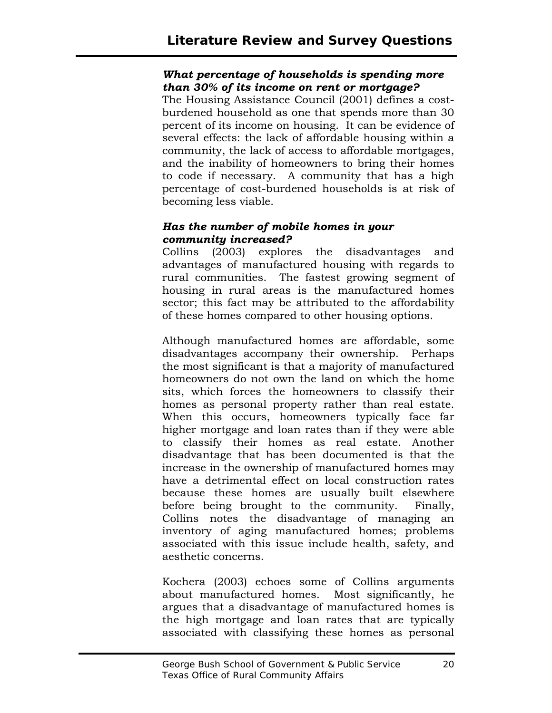#### *What percentage of households is spending more than 30% of its income on rent or mortgage?*

The Housing Assistance Council (2001) defines a costburdened household as one that spends more than 30 percent of its income on housing. It can be evidence of several effects: the lack of affordable housing within a community, the lack of access to affordable mortgages, and the inability of homeowners to bring their homes to code if necessary. A community that has a high percentage of cost-burdened households is at risk of becoming less viable.

#### *Has the number of mobile homes in your community increased?*

Collins (2003) explores the disadvantages and advantages of manufactured housing with regards to rural communities. The fastest growing segment of housing in rural areas is the manufactured homes sector; this fact may be attributed to the affordability of these homes compared to other housing options.

Although manufactured homes are affordable, some disadvantages accompany their ownership. Perhaps the most significant is that a majority of manufactured homeowners do not own the land on which the home sits, which forces the homeowners to classify their homes as personal property rather than real estate. When this occurs, homeowners typically face far higher mortgage and loan rates than if they were able to classify their homes as real estate. Another disadvantage that has been documented is that the increase in the ownership of manufactured homes may have a detrimental effect on local construction rates because these homes are usually built elsewhere before being brought to the community. Finally, Collins notes the disadvantage of managing an inventory of aging manufactured homes; problems associated with this issue include health, safety, and aesthetic concerns.

Kochera (2003) echoes some of Collins arguments about manufactured homes. Most significantly, he argues that a disadvantage of manufactured homes is the high mortgage and loan rates that are typically associated with classifying these homes as personal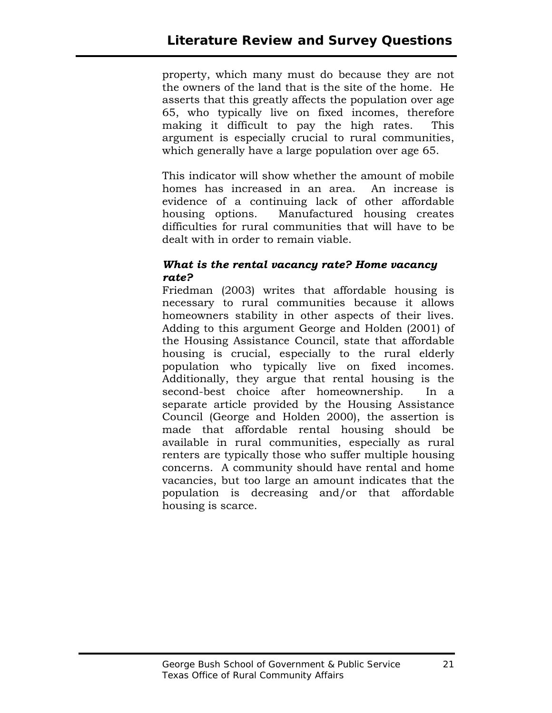property, which many must do because they are not the owners of the land that is the site of the home. He asserts that this greatly affects the population over age 65, who typically live on fixed incomes, therefore making it difficult to pay the high rates. This argument is especially crucial to rural communities, which generally have a large population over age 65.

This indicator will show whether the amount of mobile homes has increased in an area. An increase is evidence of a continuing lack of other affordable housing options. Manufactured housing creates difficulties for rural communities that will have to be dealt with in order to remain viable.

#### *What is the rental vacancy rate? Home vacancy rate?*

Friedman (2003) writes that affordable housing is necessary to rural communities because it allows homeowners stability in other aspects of their lives. Adding to this argument George and Holden (2001) of the Housing Assistance Council, state that affordable housing is crucial, especially to the rural elderly population who typically live on fixed incomes. Additionally, they argue that rental housing is the second-best choice after homeownership. In a separate article provided by the Housing Assistance Council (George and Holden 2000), the assertion is made that affordable rental housing should be available in rural communities, especially as rural renters are typically those who suffer multiple housing concerns. A community should have rental and home vacancies, but too large an amount indicates that the population is decreasing and/or that affordable housing is scarce.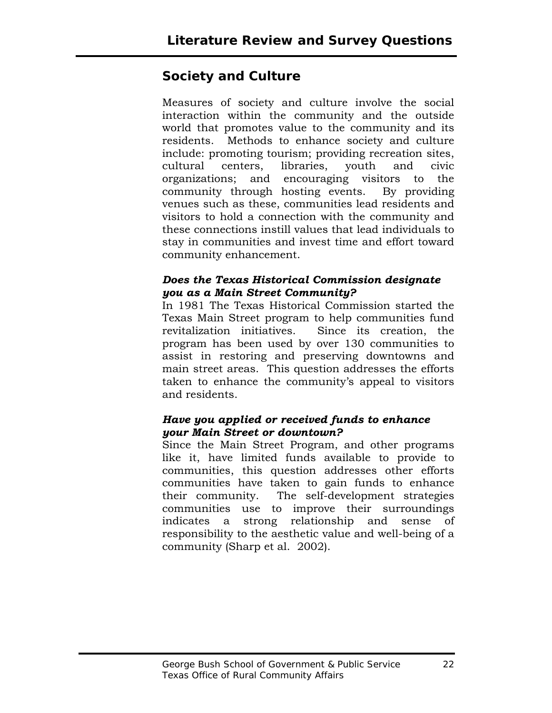## **Society and Culture**

Measures of society and culture involve the social interaction within the community and the outside world that promotes value to the community and its residents. Methods to enhance society and culture include: promoting tourism; providing recreation sites, cultural centers, libraries, youth and civic organizations; and encouraging visitors to the community through hosting events. By providing venues such as these, communities lead residents and visitors to hold a connection with the community and these connections instill values that lead individuals to stay in communities and invest time and effort toward community enhancement.

#### *Does the Texas Historical Commission designate you as a Main Street Community?*

In 1981 The Texas Historical Commission started the Texas Main Street program to help communities fund revitalization initiatives. Since its creation, the program has been used by over 130 communities to assist in restoring and preserving downtowns and main street areas. This question addresses the efforts taken to enhance the community's appeal to visitors and residents.

#### *Have you applied or received funds to enhance your Main Street or downtown?*

Since the Main Street Program, and other programs like it, have limited funds available to provide to communities, this question addresses other efforts communities have taken to gain funds to enhance their community. The self-development strategies communities use to improve their surroundings indicates a strong relationship and sense of responsibility to the aesthetic value and well-being of a community (Sharp et al. 2002).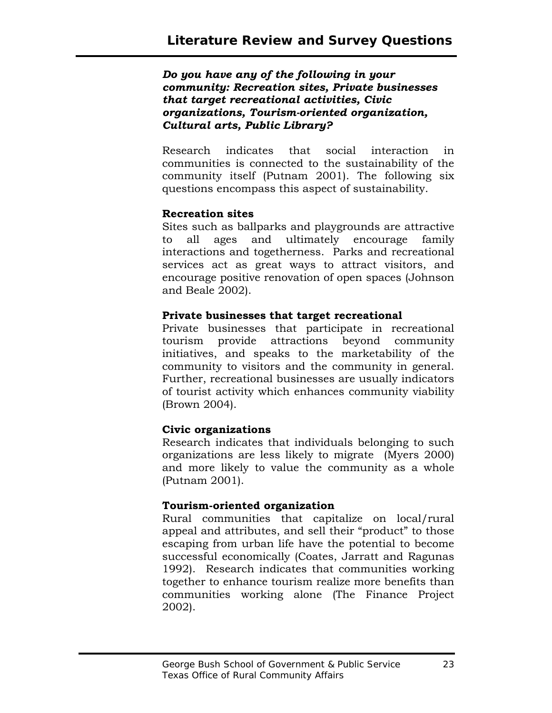*Do you have any of the following in your community: Recreation sites, Private businesses that target recreational activities, Civic organizations, Tourism-oriented organization, Cultural arts, Public Library?* 

Research indicates that social interaction in communities is connected to the sustainability of the community itself (Putnam 2001). The following six questions encompass this aspect of sustainability.

#### **Recreation sites**

Sites such as ballparks and playgrounds are attractive to all ages and ultimately encourage family interactions and togetherness. Parks and recreational services act as great ways to attract visitors, and encourage positive renovation of open spaces (Johnson and Beale 2002).

#### **Private businesses that target recreational**

Private businesses that participate in recreational tourism provide attractions beyond community initiatives, and speaks to the marketability of the community to visitors and the community in general. Further, recreational businesses are usually indicators of tourist activity which enhances community viability (Brown 2004).

#### **Civic organizations**

Research indicates that individuals belonging to such organizations are less likely to migrate (Myers 2000) and more likely to value the community as a whole (Putnam 2001).

#### **Tourism-oriented organization**

Rural communities that capitalize on local/rural appeal and attributes, and sell their "product" to those escaping from urban life have the potential to become successful economically (Coates, Jarratt and Ragunas 1992). Research indicates that communities working together to enhance tourism realize more benefits than communities working alone (The Finance Project 2002).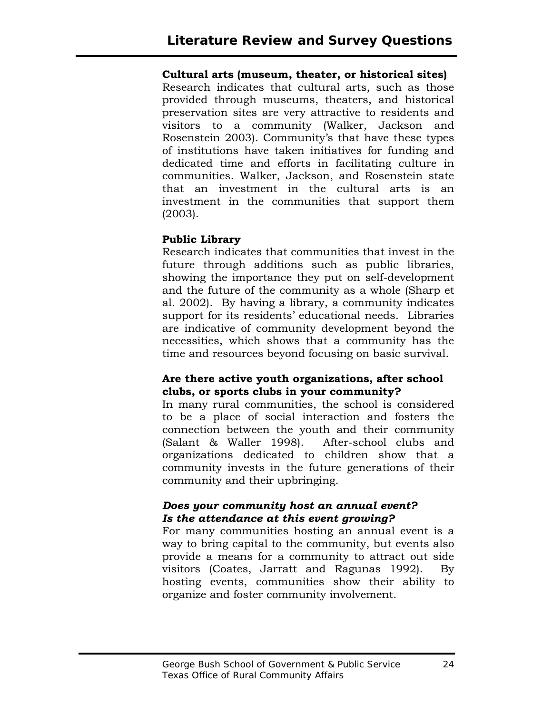#### **Cultural arts (museum, theater, or historical sites)**

Research indicates that cultural arts, such as those provided through museums, theaters, and historical preservation sites are very attractive to residents and visitors to a community (Walker, Jackson and Rosenstein 2003). Community's that have these types of institutions have taken initiatives for funding and dedicated time and efforts in facilitating culture in communities. Walker, Jackson, and Rosenstein state that an investment in the cultural arts is an investment in the communities that support them (2003).

#### **Public Library**

Research indicates that communities that invest in the future through additions such as public libraries, showing the importance they put on self-development and the future of the community as a whole (Sharp et al. 2002). By having a library, a community indicates support for its residents' educational needs. Libraries are indicative of community development beyond the necessities, which shows that a community has the time and resources beyond focusing on basic survival.

#### **Are there active youth organizations, after school clubs, or sports clubs in your community?**

In many rural communities, the school is considered to be a place of social interaction and fosters the connection between the youth and their community (Salant & Waller 1998). After-school clubs and organizations dedicated to children show that a community invests in the future generations of their community and their upbringing.

#### *Does your community host an annual event? Is the attendance at this event growing?*

For many communities hosting an annual event is a way to bring capital to the community, but events also provide a means for a community to attract out side visitors (Coates, Jarratt and Ragunas 1992). By hosting events, communities show their ability to organize and foster community involvement.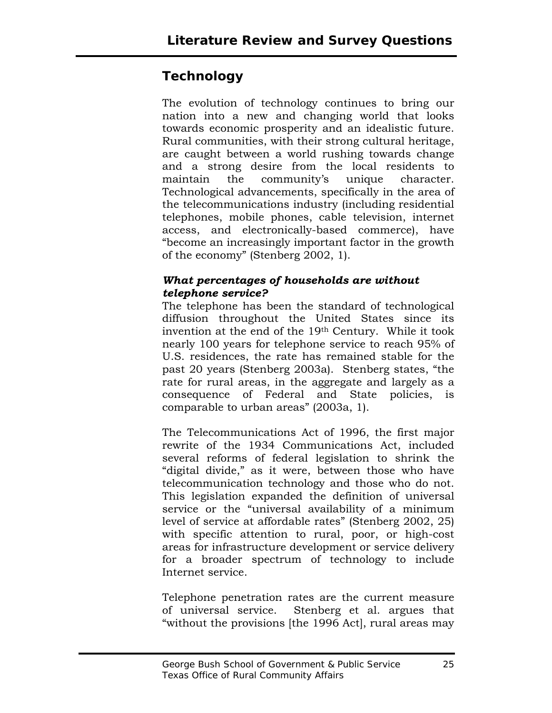## **Technology**

The evolution of technology continues to bring our nation into a new and changing world that looks towards economic prosperity and an idealistic future. Rural communities, with their strong cultural heritage, are caught between a world rushing towards change and a strong desire from the local residents to maintain the community's unique character. Technological advancements, specifically in the area of the telecommunications industry (including residential telephones, mobile phones, cable television, internet access, and electronically-based commerce), have "become an increasingly important factor in the growth of the economy" (Stenberg 2002, 1).

#### *What percentages of households are without telephone service?*

The telephone has been the standard of technological diffusion throughout the United States since its invention at the end of the 19th Century. While it took nearly 100 years for telephone service to reach 95% of U.S. residences, the rate has remained stable for the past 20 years (Stenberg 2003a). Stenberg states, "the rate for rural areas, in the aggregate and largely as a consequence of Federal and State policies, is comparable to urban areas" (2003a, 1).

The Telecommunications Act of 1996, the first major rewrite of the 1934 Communications Act, included several reforms of federal legislation to shrink the "digital divide," as it were, between those who have telecommunication technology and those who do not. This legislation expanded the definition of universal service or the "universal availability of a minimum level of service at affordable rates" (Stenberg 2002, 25) with specific attention to rural, poor, or high-cost areas for infrastructure development or service delivery for a broader spectrum of technology to include Internet service.

Telephone penetration rates are the current measure of universal service. Stenberg et al. argues that "without the provisions [the 1996 Act], rural areas may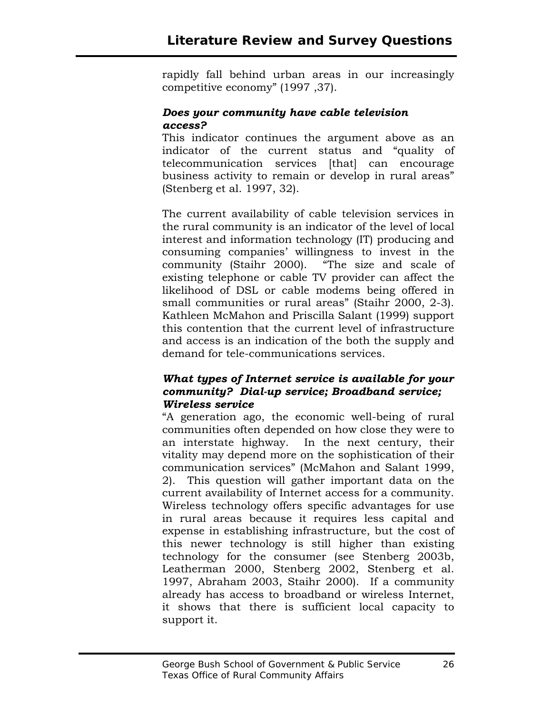rapidly fall behind urban areas in our increasingly competitive economy" (1997 ,37).

#### *Does your community have cable television access?*

This indicator continues the argument above as an indicator of the current status and "quality of telecommunication services [that] can encourage business activity to remain or develop in rural areas" (Stenberg et al. 1997, 32).

The current availability of cable television services in the rural community is an indicator of the level of local interest and information technology (IT) producing and consuming companies' willingness to invest in the community (Staihr 2000). "The size and scale of existing telephone or cable TV provider can affect the likelihood of DSL or cable modems being offered in small communities or rural areas" (Staihr 2000, 2-3). Kathleen McMahon and Priscilla Salant (1999) support this contention that the current level of infrastructure and access is an indication of the both the supply and demand for tele-communications services.

#### *What types of Internet service is available for your community? Dial-up service; Broadband service; Wireless service*

"A generation ago, the economic well-being of rural communities often depended on how close they were to an interstate highway. In the next century, their vitality may depend more on the sophistication of their communication services" (McMahon and Salant 1999, 2). This question will gather important data on the current availability of Internet access for a community. Wireless technology offers specific advantages for use in rural areas because it requires less capital and expense in establishing infrastructure, but the cost of this newer technology is still higher than existing technology for the consumer (see Stenberg 2003b, Leatherman 2000, Stenberg 2002, Stenberg et al. 1997, Abraham 2003, Staihr 2000). If a community already has access to broadband or wireless Internet, it shows that there is sufficient local capacity to support it.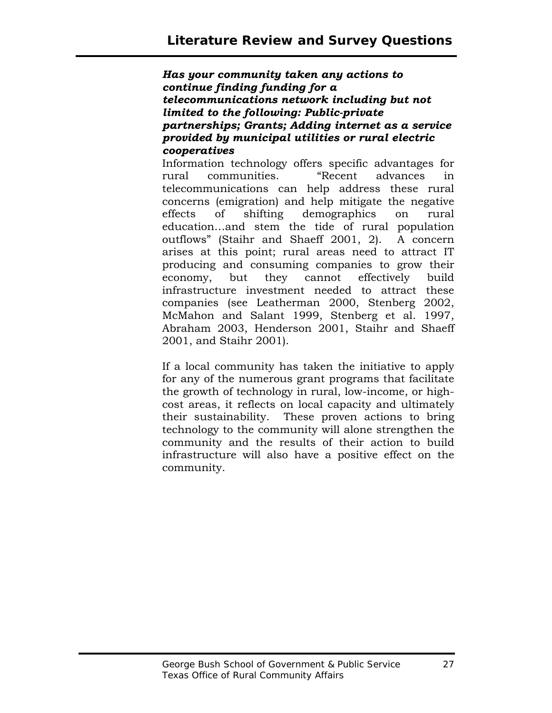*Has your community taken any actions to continue finding funding for a telecommunications network including but not limited to the following: Public-private partnerships; Grants; Adding internet as a service provided by municipal utilities or rural electric cooperatives* 

Information technology offers specific advantages for rural communities. "Recent advances in telecommunications can help address these rural concerns (emigration) and help mitigate the negative effects of shifting demographics on rural education…and stem the tide of rural population outflows" (Staihr and Shaeff 2001, 2). A concern arises at this point; rural areas need to attract IT producing and consuming companies to grow their economy, but they cannot effectively build infrastructure investment needed to attract these companies (see Leatherman 2000, Stenberg 2002, McMahon and Salant 1999, Stenberg et al. 1997, Abraham 2003, Henderson 2001, Staihr and Shaeff 2001, and Staihr 2001).

If a local community has taken the initiative to apply for any of the numerous grant programs that facilitate the growth of technology in rural, low-income, or highcost areas, it reflects on local capacity and ultimately their sustainability. These proven actions to bring technology to the community will alone strengthen the community and the results of their action to build infrastructure will also have a positive effect on the community.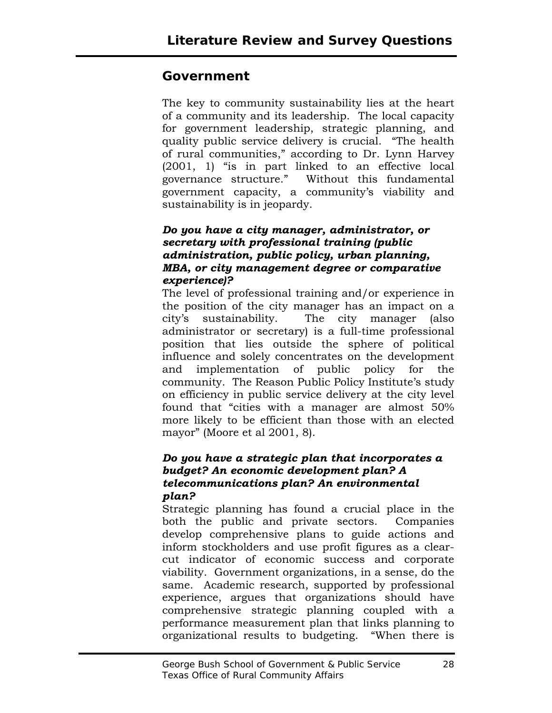## **Government**

The key to community sustainability lies at the heart of a community and its leadership. The local capacity for government leadership, strategic planning, and quality public service delivery is crucial. "The health of rural communities," according to Dr. Lynn Harvey (2001, 1) "is in part linked to an effective local governance structure." Without this fundamental government capacity, a community's viability and sustainability is in jeopardy.

#### *Do you have a city manager, administrator, or secretary with professional training (public administration, public policy, urban planning, MBA, or city management degree or comparative experience)?*

The level of professional training and/or experience in the position of the city manager has an impact on a city's sustainability. The city manager (also administrator or secretary) is a full-time professional position that lies outside the sphere of political influence and solely concentrates on the development and implementation of public policy for the community. The Reason Public Policy Institute's study on efficiency in public service delivery at the city level found that "cities with a manager are almost 50% more likely to be efficient than those with an elected mayor" (Moore et al 2001, 8).

#### *Do you have a strategic plan that incorporates a budget? An economic development plan? A telecommunications plan? An environmental plan?*

Strategic planning has found a crucial place in the both the public and private sectors. Companies develop comprehensive plans to guide actions and inform stockholders and use profit figures as a clearcut indicator of economic success and corporate viability. Government organizations, in a sense, do the same. Academic research, supported by professional experience, argues that organizations should have comprehensive strategic planning coupled with a performance measurement plan that links planning to organizational results to budgeting. "When there is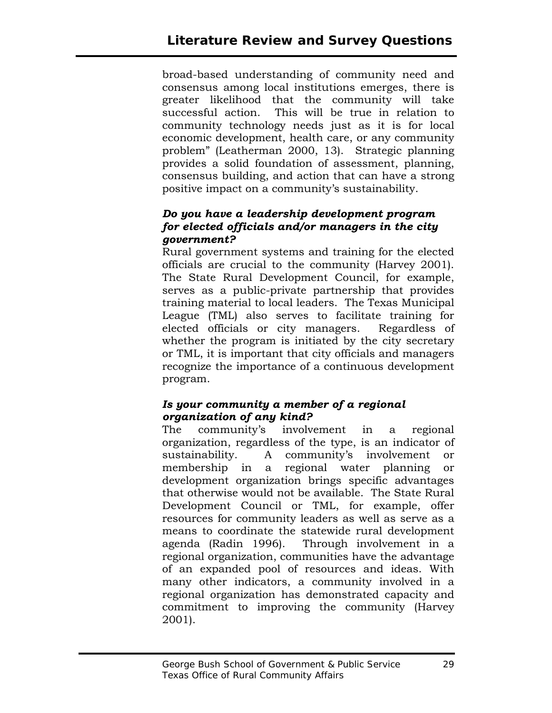broad-based understanding of community need and consensus among local institutions emerges, there is greater likelihood that the community will take successful action. This will be true in relation to community technology needs just as it is for local economic development, health care, or any community problem" (Leatherman 2000, 13). Strategic planning provides a solid foundation of assessment, planning, consensus building, and action that can have a strong positive impact on a community's sustainability.

#### *Do you have a leadership development program for elected officials and/or managers in the city government?*

Rural government systems and training for the elected officials are crucial to the community (Harvey 2001). The State Rural Development Council, for example, serves as a public-private partnership that provides training material to local leaders. The Texas Municipal League (TML) also serves to facilitate training for elected officials or city managers. Regardless of whether the program is initiated by the city secretary or TML, it is important that city officials and managers recognize the importance of a continuous development program.

#### *Is your community a member of a regional organization of any kind?*

The community's involvement in a regional organization, regardless of the type, is an indicator of sustainability. A community's involvement or membership in a regional water planning or development organization brings specific advantages that otherwise would not be available. The State Rural Development Council or TML, for example, offer resources for community leaders as well as serve as a means to coordinate the statewide rural development agenda (Radin 1996). Through involvement in a regional organization, communities have the advantage of an expanded pool of resources and ideas. With many other indicators, a community involved in a regional organization has demonstrated capacity and commitment to improving the community (Harvey 2001).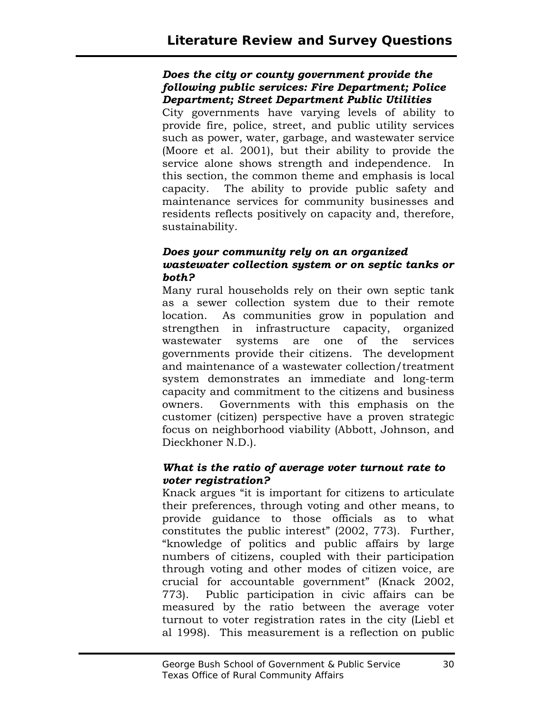#### *Does the city or county government provide the following public services: Fire Department; Police Department; Street Department Public Utilities*

City governments have varying levels of ability to provide fire, police, street, and public utility services such as power, water, garbage, and wastewater service (Moore et al. 2001), but their ability to provide the service alone shows strength and independence. In this section, the common theme and emphasis is local capacity. The ability to provide public safety and maintenance services for community businesses and residents reflects positively on capacity and, therefore, sustainability.

#### *Does your community rely on an organized wastewater collection system or on septic tanks or both?*

Many rural households rely on their own septic tank as a sewer collection system due to their remote location. As communities grow in population and strengthen in infrastructure capacity, organized wastewater systems are one of the services governments provide their citizens. The development and maintenance of a wastewater collection/treatment system demonstrates an immediate and long-term capacity and commitment to the citizens and business owners. Governments with this emphasis on the customer (citizen) perspective have a proven strategic focus on neighborhood viability (Abbott, Johnson, and Dieckhoner N.D.).

#### *What is the ratio of average voter turnout rate to voter registration?*

Knack argues "it is important for citizens to articulate their preferences, through voting and other means, to provide guidance to those officials as to what constitutes the public interest" (2002, 773). Further, "knowledge of politics and public affairs by large numbers of citizens, coupled with their participation through voting and other modes of citizen voice, are crucial for accountable government" (Knack 2002, 773). Public participation in civic affairs can be measured by the ratio between the average voter turnout to voter registration rates in the city (Liebl et al 1998). This measurement is a reflection on public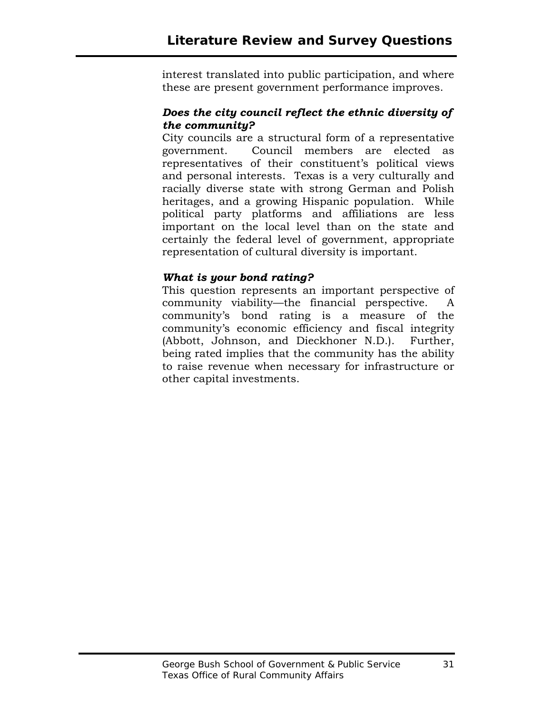interest translated into public participation, and where these are present government performance improves.

#### *Does the city council reflect the ethnic diversity of the community?*

City councils are a structural form of a representative government. Council members are elected as representatives of their constituent's political views and personal interests. Texas is a very culturally and racially diverse state with strong German and Polish heritages, and a growing Hispanic population. While political party platforms and affiliations are less important on the local level than on the state and certainly the federal level of government, appropriate representation of cultural diversity is important.

#### *What is your bond rating?*

This question represents an important perspective of community viability—the financial perspective. A community's bond rating is a measure of the community's economic efficiency and fiscal integrity (Abbott, Johnson, and Dieckhoner N.D.). Further, being rated implies that the community has the ability to raise revenue when necessary for infrastructure or other capital investments.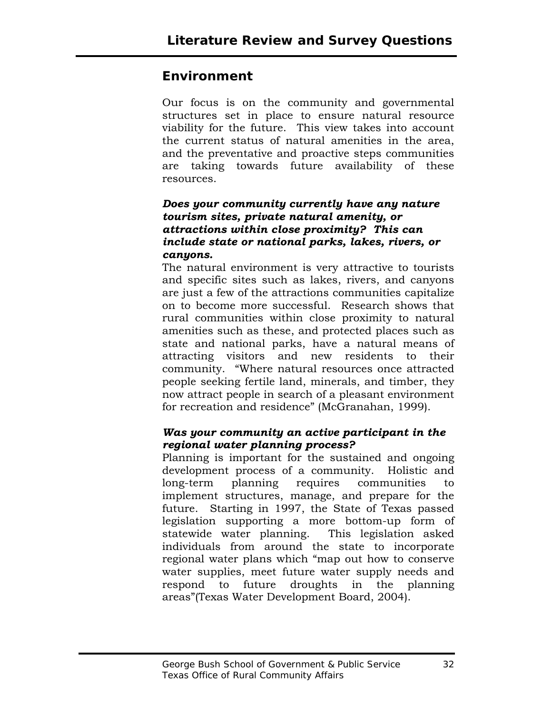## **Environment**

Our focus is on the community and governmental structures set in place to ensure natural resource viability for the future. This view takes into account the current status of natural amenities in the area, and the preventative and proactive steps communities are taking towards future availability of these resources.

#### *Does your community currently have any nature tourism sites, private natural amenity, or attractions within close proximity? This can include state or national parks, lakes, rivers, or canyons.*

The natural environment is very attractive to tourists and specific sites such as lakes, rivers, and canyons are just a few of the attractions communities capitalize on to become more successful. Research shows that rural communities within close proximity to natural amenities such as these, and protected places such as state and national parks, have a natural means of attracting visitors and new residents to their community. "Where natural resources once attracted people seeking fertile land, minerals, and timber, they now attract people in search of a pleasant environment for recreation and residence" (McGranahan, 1999).

#### *Was your community an active participant in the regional water planning process?*

Planning is important for the sustained and ongoing development process of a community. Holistic and long-term planning requires communities to implement structures, manage, and prepare for the future. Starting in 1997, the State of Texas passed legislation supporting a more bottom-up form of statewide water planning. This legislation asked individuals from around the state to incorporate regional water plans which "map out how to conserve water supplies, meet future water supply needs and respond to future droughts in the planning areas"(Texas Water Development Board, 2004).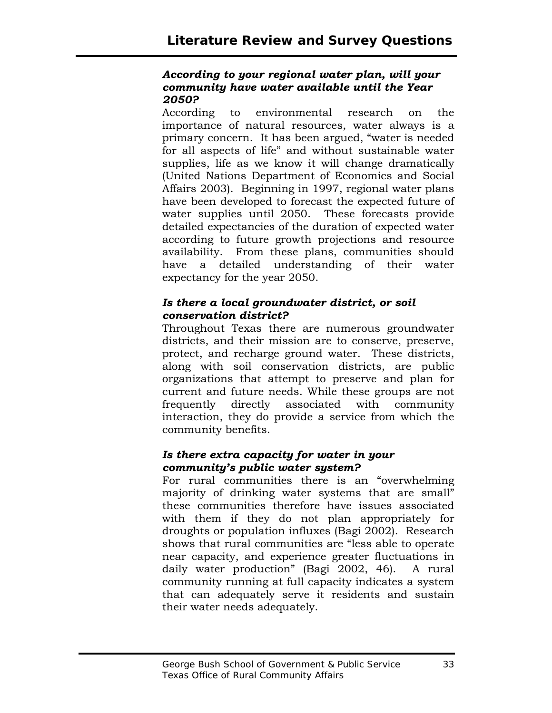#### *According to your regional water plan, will your community have water available until the Year 2050?*

According to environmental research on the importance of natural resources, water always is a primary concern. It has been argued, "water is needed for all aspects of life" and without sustainable water supplies, life as we know it will change dramatically (United Nations Department of Economics and Social Affairs 2003). Beginning in 1997, regional water plans have been developed to forecast the expected future of water supplies until 2050. These forecasts provide detailed expectancies of the duration of expected water according to future growth projections and resource availability. From these plans, communities should have a detailed understanding of their water expectancy for the year 2050.

#### *Is there a local groundwater district, or soil conservation district?*

Throughout Texas there are numerous groundwater districts, and their mission are to conserve, preserve, protect, and recharge ground water. These districts, along with soil conservation districts, are public organizations that attempt to preserve and plan for current and future needs. While these groups are not frequently directly associated with community interaction, they do provide a service from which the community benefits.

#### *Is there extra capacity for water in your community's public water system?*

For rural communities there is an "overwhelming majority of drinking water systems that are small" these communities therefore have issues associated with them if they do not plan appropriately for droughts or population influxes (Bagi 2002). Research shows that rural communities are "less able to operate near capacity, and experience greater fluctuations in daily water production" (Bagi 2002, 46). A rural community running at full capacity indicates a system that can adequately serve it residents and sustain their water needs adequately.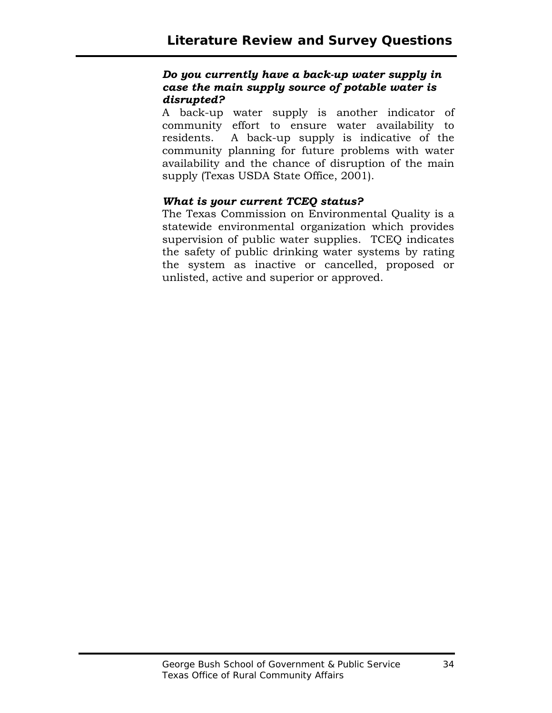#### *Do you currently have a back-up water supply in case the main supply source of potable water is disrupted?*

A back-up water supply is another indicator of community effort to ensure water availability to residents. A back-up supply is indicative of the community planning for future problems with water availability and the chance of disruption of the main supply (Texas USDA State Office, 2001).

#### *What is your current TCEQ status?*

The Texas Commission on Environmental Quality is a statewide environmental organization which provides supervision of public water supplies. TCEQ indicates the safety of public drinking water systems by rating the system as inactive or cancelled, proposed or unlisted, active and superior or approved.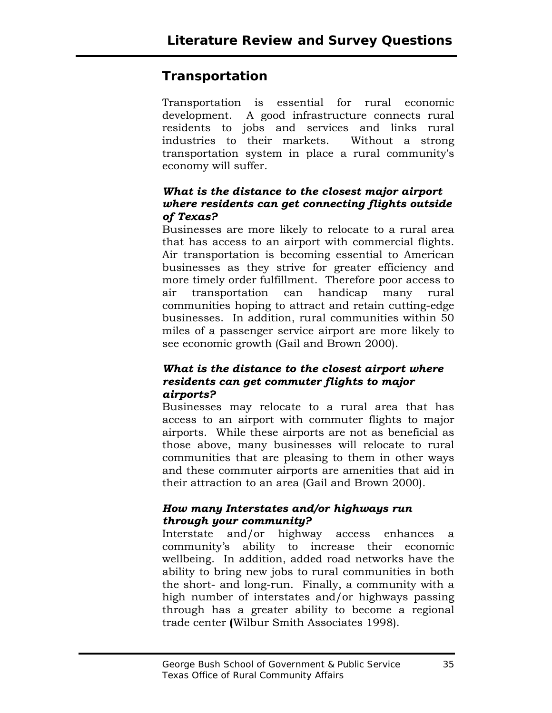## **Transportation**

Transportation is essential for rural economic development. A good infrastructure connects rural residents to jobs and services and links rural industries to their markets. Without a strong transportation system in place a rural community's economy will suffer.

#### *What is the distance to the closest major airport where residents can get connecting flights outside of Texas?*

Businesses are more likely to relocate to a rural area that has access to an airport with commercial flights. Air transportation is becoming essential to American businesses as they strive for greater efficiency and more timely order fulfillment. Therefore poor access to air transportation can handicap many rural communities hoping to attract and retain cutting-edge businesses. In addition, rural communities within 50 miles of a passenger service airport are more likely to see economic growth (Gail and Brown 2000).

#### *What is the distance to the closest airport where residents can get commuter flights to major airports?*

Businesses may relocate to a rural area that has access to an airport with commuter flights to major airports. While these airports are not as beneficial as those above, many businesses will relocate to rural communities that are pleasing to them in other ways and these commuter airports are amenities that aid in their attraction to an area (Gail and Brown 2000).

#### *How many Interstates and/or highways run through your community?*

Interstate and/or highway access enhances a community's ability to increase their economic wellbeing. In addition, added road networks have the ability to bring new jobs to rural communities in both the short- and long-run. Finally, a community with a high number of interstates and/or highways passing through has a greater ability to become a regional trade center **(**Wilbur Smith Associates 1998).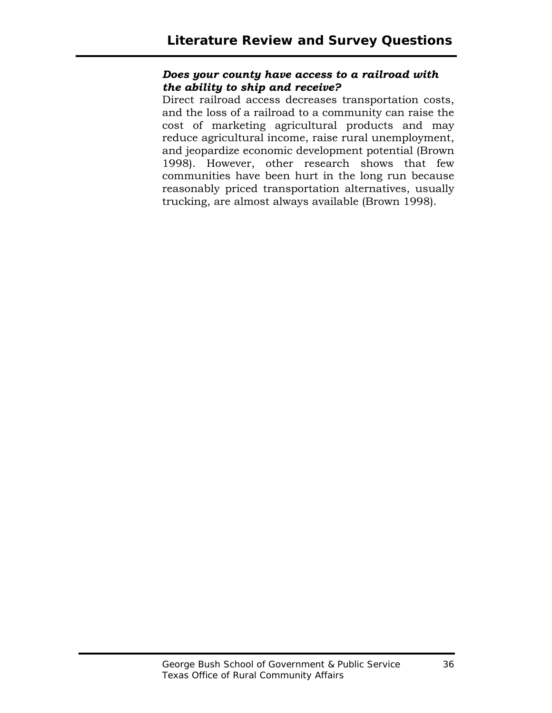#### *Does your county have access to a railroad with the ability to ship and receive?*

Direct railroad access decreases transportation costs, and the loss of a railroad to a community can raise the cost of marketing agricultural products and may reduce agricultural income, raise rural unemployment, and jeopardize economic development potential (Brown 1998). However, other research shows that few communities have been hurt in the long run because reasonably priced transportation alternatives, usually trucking, are almost always available (Brown 1998).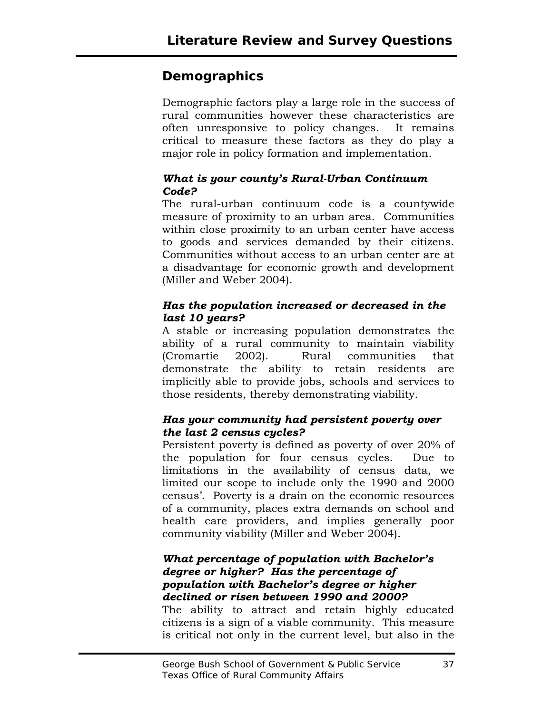## **Demographics**

Demographic factors play a large role in the success of rural communities however these characteristics are often unresponsive to policy changes. It remains critical to measure these factors as they do play a major role in policy formation and implementation.

#### *What is your county's Rural-Urban Continuum Code?*

The rural-urban continuum code is a countywide measure of proximity to an urban area. Communities within close proximity to an urban center have access to goods and services demanded by their citizens. Communities without access to an urban center are at a disadvantage for economic growth and development (Miller and Weber 2004).

#### *Has the population increased or decreased in the last 10 years?*

A stable or increasing population demonstrates the ability of a rural community to maintain viability (Cromartie 2002). Rural communities that demonstrate the ability to retain residents are implicitly able to provide jobs, schools and services to those residents, thereby demonstrating viability.

#### *Has your community had persistent poverty over the last 2 census cycles?*

Persistent poverty is defined as poverty of over 20% of the population for four census cycles. Due to limitations in the availability of census data, we limited our scope to include only the 1990 and 2000 census'. Poverty is a drain on the economic resources of a community, places extra demands on school and health care providers, and implies generally poor community viability (Miller and Weber 2004).

#### *What percentage of population with Bachelor's degree or higher? Has the percentage of population with Bachelor's degree or higher declined or risen between 1990 and 2000?*

The ability to attract and retain highly educated citizens is a sign of a viable community. This measure is critical not only in the current level, but also in the